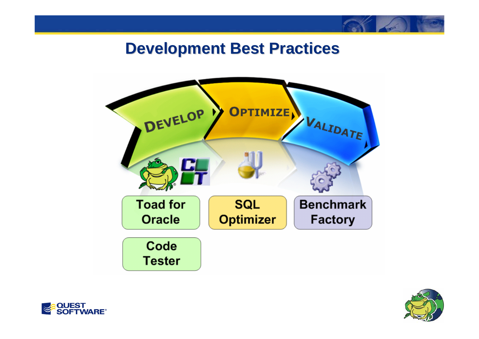### **Development Best Practices Development Best Practices**





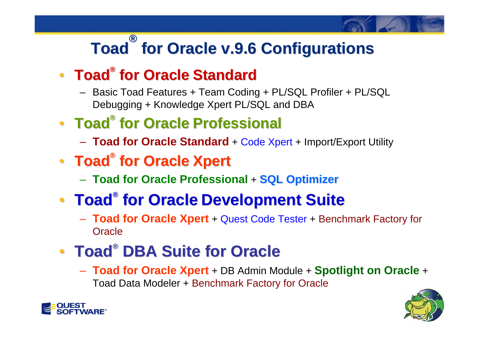# **Toad® for Oracle v.9.6 Configurations for Oracle v.9.6 Configurations**

### • **Toad® for Oracle for Oracle Standard Standard**

- Basic Toad Features + Team Coding + PL/SQL Profiler + PL/SQL Debugging + Knowledge Xpert PL/SQL and DBA
- **Toad® for Oracle for Oracle Professional Professional**
	- **Toad for Oracle Standard** + Code Xpert + Import/Export Utility
- **Toad® for Oracle for Oracle Xpert**
	- $-$  Toad for Oracle Professional + SQL Optimizer

# **• Toad® for Oracle Development Suite**

 **Toad for Oracle Xpert** + Quest Code Tester + Benchmark Factory for **Oracle** 

# **• Toad<sup>®</sup> DBA Suite for Oracle**

 **Toad for Oracle Xpert** + DB Admin Module + **Spotlight on Oracle** <sup>+</sup> Toad Data Modeler + Benchmark Factory for Oracle



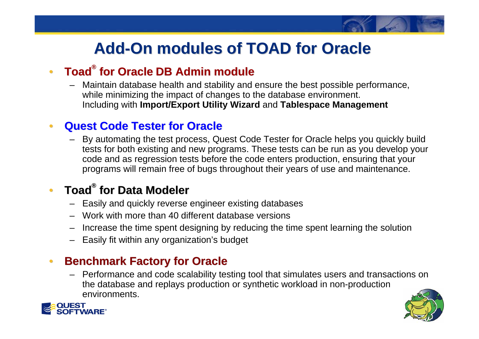# **Add-On modules of TOAD for Oracle On modules of TOAD for Oracle**

#### •**• Toad<sup>®</sup> for Oracle DB Admin module**

 Maintain database health and stability and ensure the best possible performance, while minimizing the impact of changes to the database environment. Including with **Import/Export Utility Wizard** and **Tablespace Management**

#### •**Quest Code Tester for Oracle Quest Code Tester for Oracle**

– By automating the test process, Quest Code Tester for Oracle helps you quickly build tests for both existing and new programs. These tests can be run as you develop your code and as regression tests before the code enters production, ensuring that your programs will remain free of bugs throughout their years of use and maintenance.

#### •**Toad® for Data Modeler for Data Modeler**

- Easily and quickly reverse engineer existing databases
- Work with more than 40 different database versions
- –Increase the time spent designing by reducing the time spent learning the solution
- Easily fit within any organization's budget

#### •**Benchmark Factory for Oracle Benchmark Factory for Oracle**

– Performance and code scalability testing tool that simulates users and transactions on the database and replays production or synthetic workload in non-production environments.



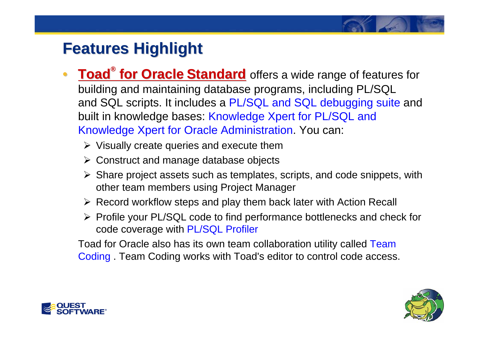- $\bullet$  **Toad ® for Oracle for Oracle Standard Standard** offers a wide range of features for building and maintaining database programs, including PL/SQL and SQL scripts. It includes a PL/SQL and SQL debugging suite and built in knowledge bases: Knowledge Xpert for PL/SQL and Knowledge Xpert for Oracle Administration. You can:
	- $\triangleright$  Visually create queries and execute them
	- ¾ Construct and manage database objects
	- ¾ Share project assets such as templates, scripts, and code snippets, with other team members using Project Manager
	- ¾ Record workflow steps and play them back later with Action Recall
	- ¾ Profile your PL/SQL code to find performance bottlenecks and check for code coverage with PL/SQL Profiler

Toad for Oracle also has its own team collaboration utility called Team Coding . Team Coding works with Toad's editor to control code access.



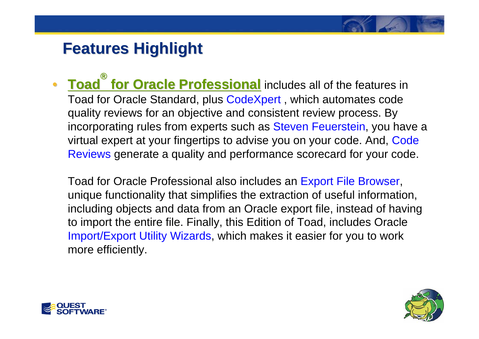• **Toad ®for Oracle Professional** includes all of the features in Toad for Oracle Standard, plus CodeXpert , which automates code quality reviews for an objective and consistent review process. By incorporating rules from experts such as Steven Feuerstein, you have a virtual expert at your fingertips to advise you on your code. And, Code Reviews generate a quality and performance scorecard for your code.

Toad for Oracle Professional also includes an Export File Browser, unique functionality that simplifies the extraction of useful information, including objects and data from an Oracle export file, instead of having to import the entire file. Finally, this Edition of Toad, includes Oracle Import/Export Utility Wizards, which makes it easier for you to work more efficiently.



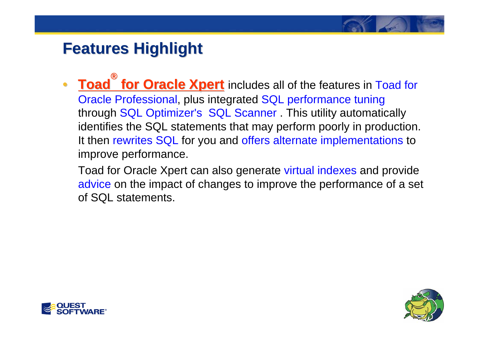- $\bullet$  **Toad ®for Oracle Xpert** includes all of the features in Toad for Oracle Professional, plus integrated SQL performance tuning through SQL Optimizer's SQL Scanner . This utility automatically identifies the SQL statements that may perform poorly in production. It then rewrites SQL for you and offers alternate implementations to improve performance.
	- Toad for Oracle Xpert can also generate virtual indexes and provide advice on the impact of changes to improve the performance of a set of SQL statements.



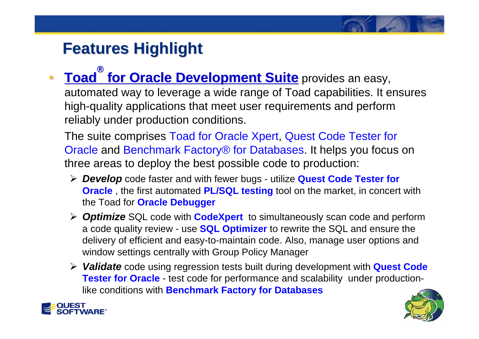#### $\bullet$  **Toad ®for Oracle Development Suite for Oracle Development Suite** provides an easy,

automated way to leverage a wide range of Toad capabilities. It ensures high-quality applications that meet user requirements and perform reliably under production conditions.

The suite comprises Toad for Oracle Xpert, Quest Code Tester for Oracle and Benchmark Factory® for Databases. It helps you focus on three areas to deploy the best possible code to production:

- ¾ *Develop* code faster and with fewer bugs utilize **Quest Code Tester for Oracle** , the first automated **PL/SQL testing** tool on the market, in concert with the Toad for **Oracle Debugger**
- ¾ *Optimize* SQL code with **CodeXpert** to simultaneously scan code and perform a code quality review - use **SQL Optimizer** to rewrite the SQL and ensure the delivery of efficient and easy-to-maintain code. Also, manage user options and window settings centrally with Group Policy Manager
- ¾ *Validate* code using regression tests built during development with **Quest Code Tester for Oracle** - test code for performance and scalability under productionlike conditions with **Benchmark Factory for Databases**



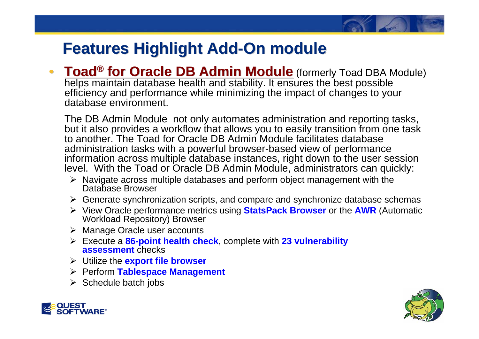•**• Toad<sup>®</sup> for Oracle DB Admin Module** (formerly Toad DBA Module) helps maintain database health and stability. It ensures the best possible efficiency and performance while minimizing the impact of changes to your database environment.

The DB Admin Module not only automates administration and reporting tasks, but it also provides a workflow that allows you to easily transition from one task to another. The Toad for Oracle DB Admin Module facilitates database administration tasks with a powerful browser-based view of performance information across multiple database instances, right down to the user session level. With the Toad or Oracle DB Admin Module, administrators can quickly:

- ¾ Navigate across multiple databases and perform object management with the Database Browser
- ¾ Generate synchronization scripts, and compare and synchronize database schemas
- ¾ View Oracle performance metrics using **StatsPack Browser** or the **AWR** (Automatic Workload Repository) Browser
- ¾ Manage Oracle user accounts
- ¾ Execute a **86-point health check**, complete with **23 vulnerability assessment** checks
- ¾ Utilize the **export file browser**
- ¾ Perform **Tablespace Management**
- $\triangleright$  Schedule batch jobs



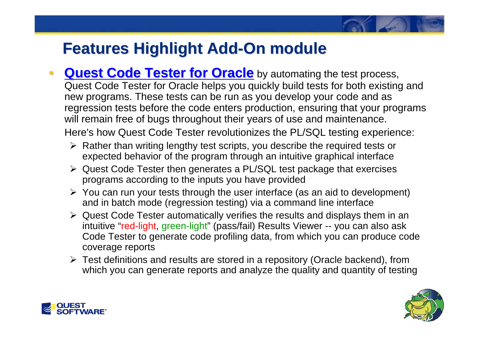- •**Quest Code Tester for Oracle** by automating the test process, Quest Code Tester for Oracle helps you quickly build tests for both existing and new programs. These tests can be run as you develop your code and as regression tests before the code enters production, ensuring that your programs will remain free of bugs throughout their years of use and maintenance. Here's how Quest Code Tester revolutionizes the PL/SQL testing experience:
	- ¾ Rather than writing lengthy test scripts, you describe the required tests or expected behavior of the program through an intuitive graphical interface
	- ¾ Quest Code Tester then generates a PL/SQL test package that exercises programs according to the inputs you have provided
	- ¾ You can run your tests through the user interface (as an aid to development) and in batch mode (regression testing) via a command line interface
	- ¾ Quest Code Tester automatically verifies the results and displays them in an intuitive "red-light, green-light" (pass/fail) Results Viewer -- you can also ask Code Tester to generate code profiling data, from which you can produce code coverage reports
	- ¾ Test definitions and results are stored in a repository (Oracle backend), from which you can generate reports and analyze the quality and quantity of testing



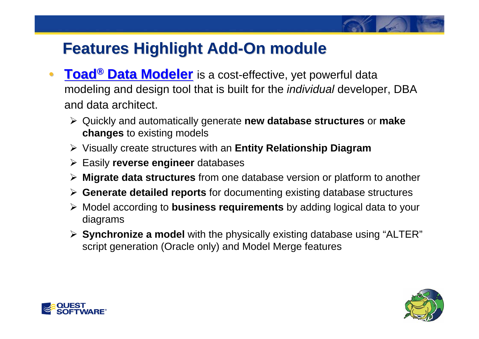- $\bullet$ **• Toad<sup>®</sup> Data Modeler** is a cost-effective, yet powerful data modeling and design tool that is built for the *individual* developer, DBA and data architect.
	- ¾ Quickly and automatically generate **new database structures** or **make changes** to existing models
	- ¾ Visually create structures with an **Entity Relationship Diagram**
	- ¾ Easily **reverse engineer** databases
	- ¾ **Migrate data structures** from one database version or platform to another
	- ¾ **Generate detailed reports** for documenting existing database structures
	- ¾ Model according to **business requirements** by adding logical data to your diagrams
	- ¾ **Synchronize a model** with the physically existing database using "ALTER" script generation (Oracle only) and Model Merge features



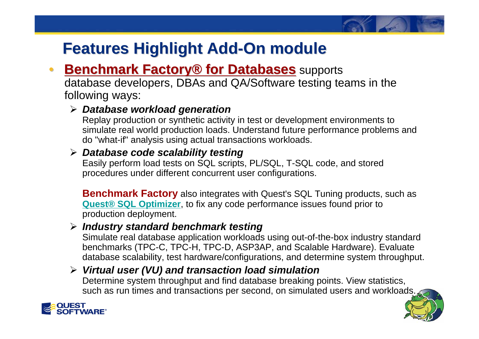#### •**Benchmark Factory<sup>®</sup> for Databases** supports

database developers, DBAs and QA/Software testing teams in the following ways:

#### ¾ *Database workload generation*

Replay production or synthetic activity in test or development environments to simulate real world production loads. Understand future performance problems and do "what-if" analysis using actual transactions workloads.

#### ¾ *Database code scalability testing*

Easily perform load tests on SQL scripts, PL/SQL, T-SQL code, and stored procedures under different concurrent user configurations.

**Benchmark Factory** also integrates with Quest's SQL Tuning products, such as **Quest® [SQL Optimizer](http://www.quest.com/SQL-Optimizer-for-Oracle/)**, to fix any code performance issues found prior to production deployment.

#### ¾ *Industry standard benchmark testing*

Simulate real database application workloads using out-of-the-box industry standard benchmarks (TPC-C, TPC-H, TPC-D, ASP3AP, and Scalable Hardware). Evaluate database scalability, test hardware/configurations, and determine system throughput.

### ¾ *Virtual user (VU) and transaction load simulation*

Determine system throughput and find database breaking points. View statistics, such as run times and transactions per second, on simulated users and workloads.

**1** 

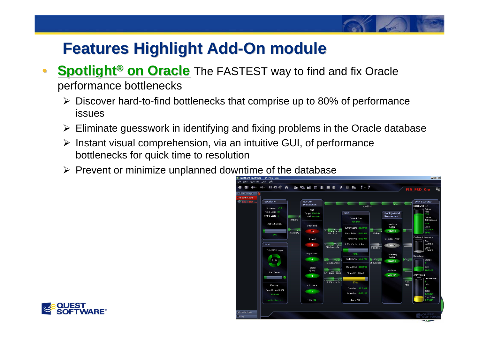#### $\bullet$ **Spotlight<sup>®</sup> on Oracle** The FASTEST way to find and fix Oracle performance bottlenecks

- ¾ Discover hard-to-find bottlenecks that comprise up to 80% of performance issues
- $\triangleright$  Eliminate guesswork in identifying and fixing problems in the Oracle database
- $\triangleright$  Instant visual comprehension, via an intuitive GUI, of performance bottlenecks for quick time to resolution
- $\triangleright$  Prevent or minimize unplanned downtime of the database



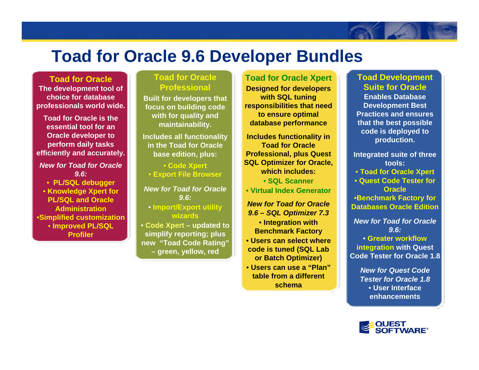### **Toad for Oracle 9.6 Developer Bundles**

**Toad for OracleT he develo pment tool of choice for database professionals w orld wide.** 

**Toad for Oracle is the essential tool for an Ora cle dev eloper to perform daily tasks efficiently and accurately.**

*New for Toad for Oracle 9.6:*

• **PL/SQL debugger**

• **Knowledge Xpert for PL/SQL and Oracle Administration**•**Simplified customization** • **Improved PL/SQL Profiler**

#### **Toad for Oracle Professional**

**Built for developers that focus on b uil ding code with for quality and maintainability.**

**Includes all functionality in the Toad for Oracle base edition, plus:**

• **Code Xpert** • **Exp ort Fil e Browser**

*New for Toad for Oracle 9.6:*

• **Import/Export utility wizards**

• **Code Xpert –updated t osimplify reporting; plus new "Toad Code Rating" – green, y ellow, r e d**

**Toad for Oracle Xpert**

**Designed f or develop ers with SQL t uning respo nsibilities that need to ensure optimal database performance**

Includes functionality in **Toad for Oracle Professional, plus Quest SQL O ptimizer for Ora cle, which includes:** 

• **SQL Scanner**

• **Virtual I ndex Generator**

*New for Toad for Oracle 9.6 –SQL Optimizer 7.3* • **Integration with Benchmark Factory**

- **Users can select where code is tuned (SQ L Lab or Batch Optimizer)**
- **Users can use a "Plan"table from a different schema**

#### **Toad Development Suite for Oracle**

**Enables Database Dev elopment Best Practices and ensures that the best possible code is deployed t o production.**

**Integrated suite of three tools:** • **Toad for Ora cle Xpert** • **Quest Code Tester for Oracle**•**Benchmark Factory for Databases Oracle Edition**

*New for Toad for Oracle 9.6:*• **Greater workflowintegration with Quest** 

**Code Tester for Oracle 1.8** 

*New for Quest Code Tester for Oracle 1.8*• **User Interface enhancements**